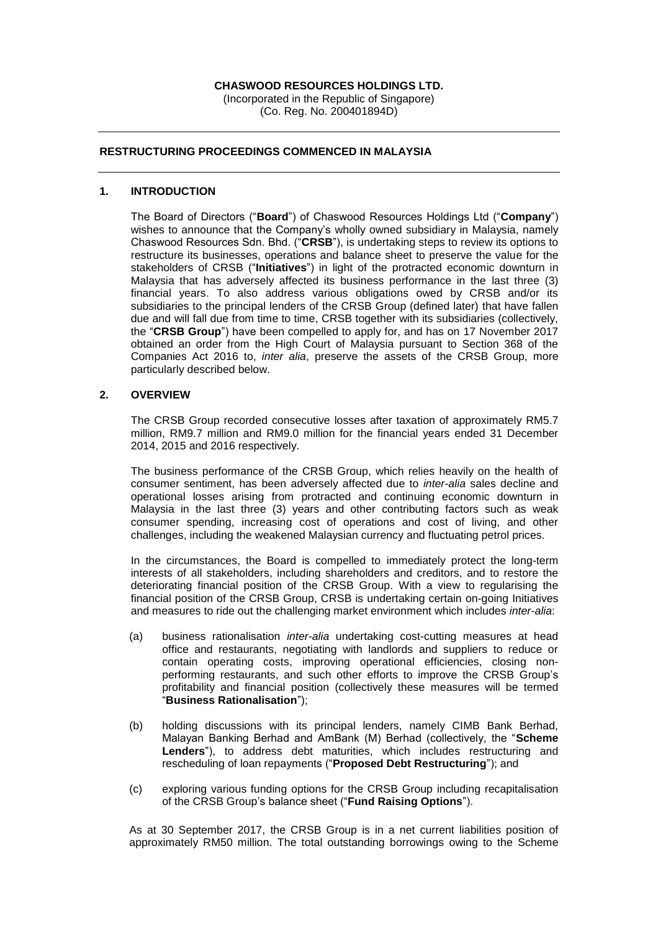## **CHASWOOD RESOURCES HOLDINGS LTD.**

(Incorporated in the Republic of Singapore) (Co. Reg. No. 200401894D)

# **RESTRUCTURING PROCEEDINGS COMMENCED IN MALAYSIA**

#### **1. INTRODUCTION**

The Board of Directors ("**Board**") of Chaswood Resources Holdings Ltd ("**Company**") wishes to announce that the Company's wholly owned subsidiary in Malaysia, namely Chaswood Resources Sdn. Bhd. ("**CRSB**"), is undertaking steps to review its options to restructure its businesses, operations and balance sheet to preserve the value for the stakeholders of CRSB ("**Initiatives**") in light of the protracted economic downturn in Malaysia that has adversely affected its business performance in the last three (3) financial years. To also address various obligations owed by CRSB and/or its subsidiaries to the principal lenders of the CRSB Group (defined later) that have fallen due and will fall due from time to time, CRSB together with its subsidiaries (collectively, the "**CRSB Group**") have been compelled to apply for, and has on 17 November 2017 obtained an order from the High Court of Malaysia pursuant to Section 368 of the Companies Act 2016 to, *inter alia*, preserve the assets of the CRSB Group, more particularly described below.

#### **2. OVERVIEW**

The CRSB Group recorded consecutive losses after taxation of approximately RM5.7 million, RM9.7 million and RM9.0 million for the financial years ended 31 December 2014, 2015 and 2016 respectively.

The business performance of the CRSB Group, which relies heavily on the health of consumer sentiment, has been adversely affected due to *inter-alia* sales decline and operational losses arising from protracted and continuing economic downturn in Malaysia in the last three (3) years and other contributing factors such as weak consumer spending, increasing cost of operations and cost of living, and other challenges, including the weakened Malaysian currency and fluctuating petrol prices.

In the circumstances, the Board is compelled to immediately protect the long-term interests of all stakeholders, including shareholders and creditors, and to restore the deteriorating financial position of the CRSB Group. With a view to regularising the financial position of the CRSB Group, CRSB is undertaking certain on-going Initiatives and measures to ride out the challenging market environment which includes *inter-alia*:

- (a) business rationalisation *inter-alia* undertaking cost-cutting measures at head office and restaurants, negotiating with landlords and suppliers to reduce or contain operating costs, improving operational efficiencies, closing nonperforming restaurants, and such other efforts to improve the CRSB Group's profitability and financial position (collectively these measures will be termed "**Business Rationalisation**");
- (b) holding discussions with its principal lenders, namely CIMB Bank Berhad, Malayan Banking Berhad and AmBank (M) Berhad (collectively, the "**Scheme Lenders**"), to address debt maturities, which includes restructuring and rescheduling of loan repayments ("**Proposed Debt Restructuring**"); and
- (c) exploring various funding options for the CRSB Group including recapitalisation of the CRSB Group's balance sheet ("**Fund Raising Options**").

As at 30 September 2017, the CRSB Group is in a net current liabilities position of approximately RM50 million. The total outstanding borrowings owing to the Scheme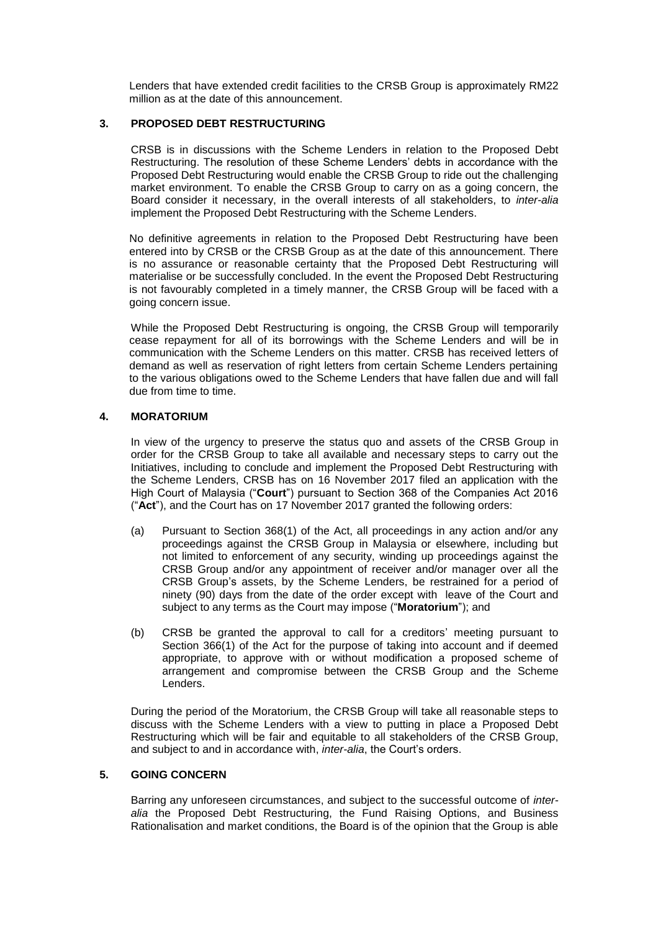Lenders that have extended credit facilities to the CRSB Group is approximately RM22 million as at the date of this announcement.

## **3. PROPOSED DEBT RESTRUCTURING**

CRSB is in discussions with the Scheme Lenders in relation to the Proposed Debt Restructuring. The resolution of these Scheme Lenders' debts in accordance with the Proposed Debt Restructuring would enable the CRSB Group to ride out the challenging market environment. To enable the CRSB Group to carry on as a going concern, the Board consider it necessary, in the overall interests of all stakeholders, to *inter-alia* implement the Proposed Debt Restructuring with the Scheme Lenders.

No definitive agreements in relation to the Proposed Debt Restructuring have been entered into by CRSB or the CRSB Group as at the date of this announcement. There is no assurance or reasonable certainty that the Proposed Debt Restructuring will materialise or be successfully concluded. In the event the Proposed Debt Restructuring is not favourably completed in a timely manner, the CRSB Group will be faced with a going concern issue.

While the Proposed Debt Restructuring is ongoing, the CRSB Group will temporarily cease repayment for all of its borrowings with the Scheme Lenders and will be in communication with the Scheme Lenders on this matter. CRSB has received letters of demand as well as reservation of right letters from certain Scheme Lenders pertaining to the various obligations owed to the Scheme Lenders that have fallen due and will fall due from time to time.

## **4. MORATORIUM**

In view of the urgency to preserve the status quo and assets of the CRSB Group in order for the CRSB Group to take all available and necessary steps to carry out the Initiatives, including to conclude and implement the Proposed Debt Restructuring with the Scheme Lenders, CRSB has on 16 November 2017 filed an application with the High Court of Malaysia ("**Court**") pursuant to Section 368 of the Companies Act 2016 ("**Act**"), and the Court has on 17 November 2017 granted the following orders:

- (a) Pursuant to Section 368(1) of the Act, all proceedings in any action and/or any proceedings against the CRSB Group in Malaysia or elsewhere, including but not limited to enforcement of any security, winding up proceedings against the CRSB Group and/or any appointment of receiver and/or manager over all the CRSB Group's assets, by the Scheme Lenders, be restrained for a period of ninety (90) days from the date of the order except with leave of the Court and subject to any terms as the Court may impose ("**Moratorium**"); and
- (b) CRSB be granted the approval to call for a creditors' meeting pursuant to Section 366(1) of the Act for the purpose of taking into account and if deemed appropriate, to approve with or without modification a proposed scheme of arrangement and compromise between the CRSB Group and the Scheme Lenders.

During the period of the Moratorium, the CRSB Group will take all reasonable steps to discuss with the Scheme Lenders with a view to putting in place a Proposed Debt Restructuring which will be fair and equitable to all stakeholders of the CRSB Group, and subject to and in accordance with, *inter-alia*, the Court's orders.

# **5. GOING CONCERN**

Barring any unforeseen circumstances, and subject to the successful outcome of *interalia* the Proposed Debt Restructuring, the Fund Raising Options, and Business Rationalisation and market conditions, the Board is of the opinion that the Group is able